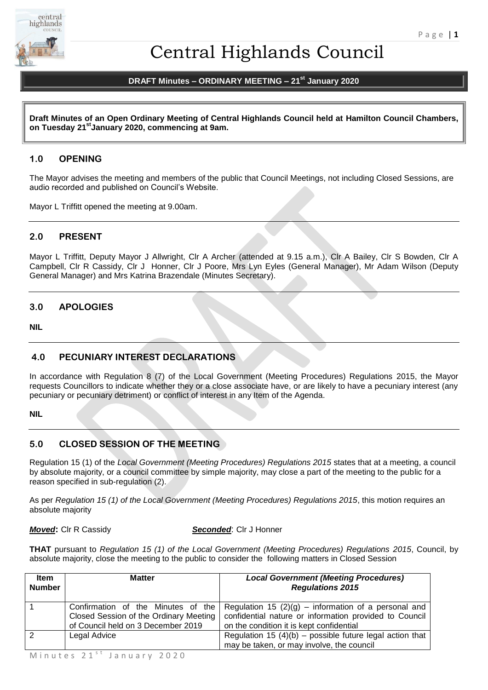

# Central Highlands Council

# **DRAFT Minutes – ORDINARY MEETING – 21st January 2020**

**Draft Minutes of an Open Ordinary Meeting of Central Highlands Council held at Hamilton Council Chambers, on Tuesday 21stJanuary 2020, commencing at 9am.**

# **1.0 OPENING**

The Mayor advises the meeting and members of the public that Council Meetings, not including Closed Sessions, are audio recorded and published on Council's Website.

Mayor L Triffitt opened the meeting at 9.00am.

# **2.0 PRESENT**

Mayor L Triffitt, Deputy Mayor J Allwright, Clr A Archer (attended at 9.15 a.m.), Clr A Bailey, Clr S Bowden, Clr A Campbell, Clr R Cassidy, Clr J Honner, Clr J Poore, Mrs Lyn Eyles (General Manager), Mr Adam Wilson (Deputy General Manager) and Mrs Katrina Brazendale (Minutes Secretary).

# **3.0 APOLOGIES**

**NIL** 

# **4.0 PECUNIARY INTEREST DECLARATIONS**

In accordance with Regulation 8 (7) of the Local Government (Meeting Procedures) Regulations 2015, the Mayor requests Councillors to indicate whether they or a close associate have, or are likely to have a pecuniary interest (any pecuniary or pecuniary detriment) or conflict of interest in any Item of the Agenda.

#### **NIL**

# **5.0 CLOSED SESSION OF THE MEETING**

Regulation 15 (1) of the *Local Government (Meeting Procedures) Regulations 2015* states that at a meeting, a council by absolute majority, or a council committee by simple majority, may close a part of the meeting to the public for a reason specified in sub-regulation (2).

As per *Regulation 15 (1) of the Local Government (Meeting Procedures) Regulations 2015*, this motion requires an absolute majority

*Moved***:** Clr R Cassidy *Seconded*: Clr J Honner

**THAT** pursuant to *Regulation 15 (1) of the Local Government (Meeting Procedures) Regulations 2015*, Council, by absolute majority, close the meeting to the public to consider the following matters in Closed Session

| <b>Item</b><br><b>Number</b> | <b>Matter</b>                                                                                                      | <b>Local Government (Meeting Procedures)</b><br><b>Regulations 2015</b>                                                                                      |
|------------------------------|--------------------------------------------------------------------------------------------------------------------|--------------------------------------------------------------------------------------------------------------------------------------------------------------|
|                              | Confirmation of the Minutes of the<br>Closed Session of the Ordinary Meeting<br>of Council held on 3 December 2019 | Regulation 15 $(2)(g)$ – information of a personal and<br>confidential nature or information provided to Council<br>on the condition it is kept confidential |
| 2                            | Legal Advice                                                                                                       | Regulation 15 $(4)(b)$ – possible future legal action that<br>may be taken, or may involve, the council                                                      |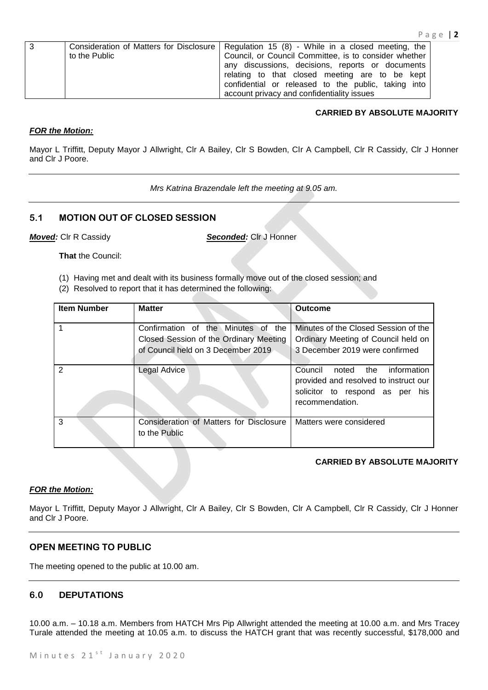| 3 | to the Public | Consideration of Matters for Disclosure   Regulation 15 (8) - While in a closed meeting, the<br>Council, or Council Committee, is to consider whether                                                   |
|---|---------------|---------------------------------------------------------------------------------------------------------------------------------------------------------------------------------------------------------|
|   |               | any discussions, decisions, reports or documents<br>relating to that closed meeting are to be kept<br>confidential or released to the public, taking into<br>account privacy and confidentiality issues |

# **CARRIED BY ABSOLUTE MAJORITY**

# *FOR the Motion:*

Mayor L Triffitt, Deputy Mayor J Allwright, Clr A Bailey, Clr S Bowden, Clr A Campbell, Clr R Cassidy, Clr J Honner and Clr J Poore.

*Mrs Katrina Brazendale left the meeting at 9.05 am.*

# **5.1 MOTION OUT OF CLOSED SESSION**

*Moved:* Clr R Cassidy *Seconded:* Clr J Honner

**That** the Council:

- (1) Having met and dealt with its business formally move out of the closed session; and
- (2) Resolved to report that it has determined the following:

| <b>Item Number</b> | <b>Matter</b>                                                                                                      | <b>Outcome</b>                                                                                                                     |
|--------------------|--------------------------------------------------------------------------------------------------------------------|------------------------------------------------------------------------------------------------------------------------------------|
|                    | Confirmation of the Minutes of the<br>Closed Session of the Ordinary Meeting<br>of Council held on 3 December 2019 | Minutes of the Closed Session of the<br>Ordinary Meeting of Council held on<br>3 December 2019 were confirmed                      |
| $\mathcal{P}$      | Legal Advice                                                                                                       | Council<br>information<br>noted the<br>provided and resolved to instruct our<br>solicitor to respond as per his<br>recommendation. |
| 3                  | Consideration of Matters for Disclosure<br>to the Public                                                           | Matters were considered                                                                                                            |

# **CARRIED BY ABSOLUTE MAJORITY**

# *FOR the Motion:*

Mayor L Triffitt, Deputy Mayor J Allwright, Clr A Bailey, Clr S Bowden, Clr A Campbell, Clr R Cassidy, Clr J Honner and Clr J Poore.

# **OPEN MEETING TO PUBLIC**

The meeting opened to the public at 10.00 am.

# **6.0 DEPUTATIONS**

10.00 a.m. – 10.18 a.m. Members from HATCH Mrs Pip Allwright attended the meeting at 10.00 a.m. and Mrs Tracey Turale attended the meeting at 10.05 a.m. to discuss the HATCH grant that was recently successful, \$178,000 and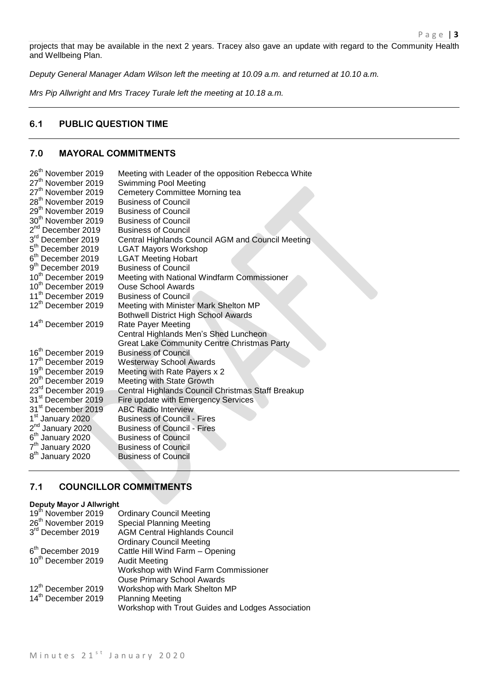projects that may be available in the next 2 years. Tracey also gave an update with regard to the Community Health and Wellbeing Plan.

*Deputy General Manager Adam Wilson left the meeting at 10.09 a.m. and returned at 10.10 a.m.*

*Mrs Pip Allwright and Mrs Tracey Turale left the meeting at 10.18 a.m.*

# **6.1 PUBLIC QUESTION TIME**

# **7.0 MAYORAL COMMITMENTS**

| Meeting with Leader of the opposition Rebecca White |
|-----------------------------------------------------|
| Swimming Pool Meeting                               |
| Cemetery Committee Morning tea                      |
| <b>Business of Council</b>                          |
| <b>Business of Council</b>                          |
| <b>Business of Council</b>                          |
| <b>Business of Council</b>                          |
| Central Highlands Council AGM and Council Meeting   |
| <b>LGAT Mayors Workshop</b>                         |
| <b>LGAT Meeting Hobart</b>                          |
| <b>Business of Council</b>                          |
| Meeting with National Windfarm Commissioner         |
| <b>Ouse School Awards</b>                           |
| <b>Business of Council</b>                          |
| Meeting with Minister Mark Shelton MP               |
| <b>Bothwell District High School Awards</b>         |
| Rate Payer Meeting                                  |
| Central Highlands Men's Shed Luncheon               |
| <b>Great Lake Community Centre Christmas Party</b>  |
| <b>Business of Council</b>                          |
| <b>Westerway School Awards</b>                      |
| Meeting with Rate Payers x 2                        |
| Meeting with State Growth                           |
| Central Highlands Council Christmas Staff Breakup   |
| Fire update with Emergency Services                 |
| <b>ABC Radio Interview</b>                          |
| <b>Business of Council - Fires</b>                  |
| <b>Business of Council - Fires</b>                  |
| <b>Business of Council</b>                          |
| <b>Business of Council</b>                          |
| <b>Business of Council</b>                          |
|                                                     |

# **7.1 COUNCILLOR COMMITMENTS**

#### **Deputy Mayor J Allwright**

| 19 <sup>th</sup> November 2019 | <b>Ordinary Council Meeting</b>                   |
|--------------------------------|---------------------------------------------------|
| 26 <sup>th</sup> November 2019 | <b>Special Planning Meeting</b>                   |
| 3rd December 2019              | <b>AGM Central Highlands Council</b>              |
|                                | <b>Ordinary Council Meeting</b>                   |
| 6 <sup>th</sup> December 2019  | Cattle Hill Wind Farm - Opening                   |
| 10 <sup>th</sup> December 2019 | <b>Audit Meeting</b>                              |
|                                | Workshop with Wind Farm Commissioner              |
|                                | <b>Ouse Primary School Awards</b>                 |
| 12 <sup>th</sup> December 2019 | Workshop with Mark Shelton MP                     |
| 14 <sup>th</sup> December 2019 | <b>Planning Meeting</b>                           |
|                                | Workshop with Trout Guides and Lodges Association |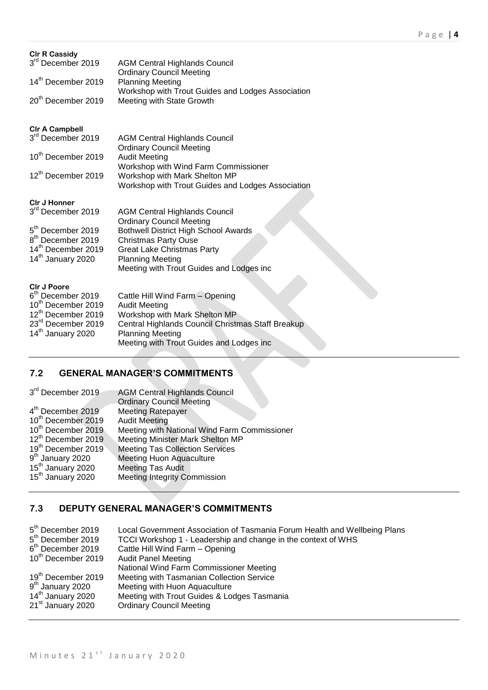| <b>CIr R Cassidy</b><br>3 <sup>rd</sup> December 2019<br>14 <sup>th</sup> December 2019<br>20 <sup>th</sup> December 2019                                                          | <b>AGM Central Highlands Council</b><br><b>Ordinary Council Meeting</b><br><b>Planning Meeting</b><br>Workshop with Trout Guides and Lodges Association<br>Meeting with State Growth                                                                              |
|------------------------------------------------------------------------------------------------------------------------------------------------------------------------------------|-------------------------------------------------------------------------------------------------------------------------------------------------------------------------------------------------------------------------------------------------------------------|
| <b>CIr A Campbell</b><br>3 <sup>rd</sup> December 2019<br>10 <sup>th</sup> December 2019<br>12 <sup>th</sup> December 2019                                                         | <b>AGM Central Highlands Council</b><br><b>Ordinary Council Meeting</b><br><b>Audit Meeting</b><br>Workshop with Wind Farm Commissioner<br>Workshop with Mark Shelton MP<br>Workshop with Trout Guides and Lodges Association                                     |
| CIr J Honner<br>3 <sup>rd</sup> December 2019<br>5 <sup>th</sup> December 2019<br>8 <sup>th</sup> December 2019<br>14 <sup>th</sup> December 2019<br>14 <sup>th</sup> January 2020 | <b>AGM Central Highlands Council</b><br><b>Ordinary Council Meeting</b><br><b>Bothwell District High School Awards</b><br><b>Christmas Party Ouse</b><br><b>Great Lake Christmas Party</b><br><b>Planning Meeting</b><br>Meeting with Trout Guides and Lodges inc |
| <b>CIr J Poore</b><br>6 <sup>th</sup> December 2019<br>10th December 2019<br>12 <sup>th</sup> December 2019<br>23 <sup>rd</sup> December 2019<br>14 <sup>th</sup> January 2020     | Cattle Hill Wind Farm - Opening<br><b>Audit Meeting</b><br>Workshop with Mark Shelton MP<br>Central Highlands Council Christmas Staff Breakup<br><b>Planning Meeting</b>                                                                                          |

Meeting with Trout Guides and Lodges inc

# **7.2 GENERAL MANAGER'S COMMITMENTS**

| 3rd December 2019              | <b>AGM Central Highlands Council</b>         |
|--------------------------------|----------------------------------------------|
|                                | <b>Ordinary Council Meeting</b>              |
| 4 <sup>th</sup> December 2019  | <b>Meeting Ratepayer</b>                     |
| 10 <sup>th</sup> December 2019 | <b>Audit Meeting</b>                         |
| 10 <sup>th</sup> December 2019 | Meeting with National Wind Farm Commissioner |
| 12 <sup>th</sup> December 2019 | Meeting Minister Mark Shelton MP             |
| 19th December 2019             | <b>Meeting Tas Collection Services</b>       |
| 9 <sup>th</sup> January 2020   | <b>Meeting Huon Aquaculture</b>              |
| 15 <sup>th</sup> January 2020  | <b>Meeting Tas Audit</b>                     |
| 15 <sup>th</sup> January 2020  | <b>Meeting Integrity Commission</b>          |
|                                |                                              |

# **7.3 DEPUTY GENERAL MANAGER'S COMMITMENTS**

| 5 <sup>th</sup> December 2019  | Local Government Association of Tasmania Forum Health and Wellbeing Plans |
|--------------------------------|---------------------------------------------------------------------------|
| 5 <sup>th</sup> December 2019  | TCCI Workshop 1 - Leadership and change in the context of WHS             |
| 6 <sup>th</sup> December 2019  | Cattle Hill Wind Farm - Opening                                           |
| 10 <sup>th</sup> December 2019 | <b>Audit Panel Meeting</b>                                                |
|                                | National Wind Farm Commissioner Meeting                                   |
| 19 <sup>th</sup> December 2019 | Meeting with Tasmanian Collection Service                                 |
| 9 <sup>th</sup> January 2020   | Meeting with Huon Aquaculture                                             |
| 14 <sup>th</sup> January 2020  | Meeting with Trout Guides & Lodges Tasmania                               |
| 21 <sup>st</sup> January 2020  | <b>Ordinary Council Meeting</b>                                           |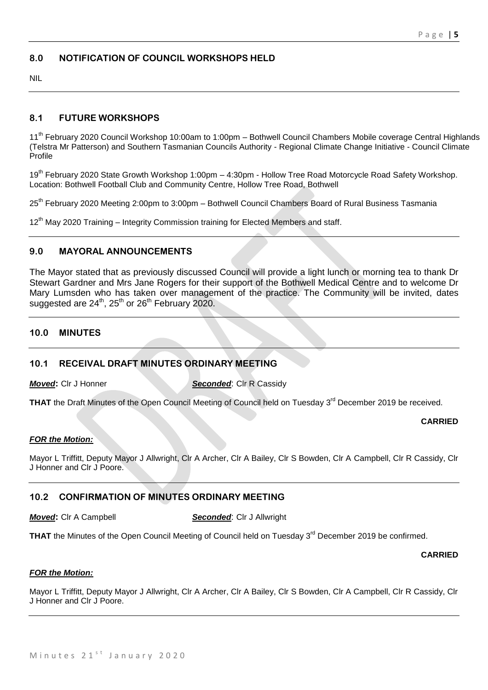# **8.0 NOTIFICATION OF COUNCIL WORKSHOPS HELD**

NIL

# **8.1 FUTURE WORKSHOPS**

11<sup>th</sup> February 2020 Council Workshop 10:00am to 1:00pm – Bothwell Council Chambers Mobile coverage Central Highlands (Telstra Mr Patterson) and Southern Tasmanian Councils Authority - Regional Climate Change Initiative - Council Climate Profile

19<sup>th</sup> February 2020 State Growth Workshop 1:00pm - 4:30pm - Hollow Tree Road Motorcycle Road Safety Workshop. Location: Bothwell Football Club and Community Centre, Hollow Tree Road, Bothwell

25<sup>th</sup> February 2020 Meeting 2:00pm to 3:00pm – Bothwell Council Chambers Board of Rural Business Tasmania

12<sup>th</sup> May 2020 Training – Integrity Commission training for Elected Members and staff.

# **9.0 MAYORAL ANNOUNCEMENTS**

The Mayor stated that as previously discussed Council will provide a light lunch or morning tea to thank Dr Stewart Gardner and Mrs Jane Rogers for their support of the Bothwell Medical Centre and to welcome Dr Mary Lumsden who has taken over management of the practice. The Community will be invited, dates suggested are  $24<sup>th</sup>$ ,  $25<sup>th</sup>$  or  $26<sup>th</sup>$  February 2020.

# **10.0 MINUTES**

# **10.1 RECEIVAL DRAFT MINUTES ORDINARY MEETING**

*Moved***: Cir J Honner <b>Seconded**: Cir R Cassidy

THAT the Draft Minutes of the Open Council Meeting of Council held on Tuesday 3<sup>rd</sup> December 2019 be received.

#### **CARRIED**

#### *FOR the Motion:*

Mayor L Triffitt, Deputy Mayor J Allwright, Clr A Archer, Clr A Bailey, Clr S Bowden, Clr A Campbell, Clr R Cassidy, Clr J Honner and Clr J Poore.

# **10.2 CONFIRMATION OF MINUTES ORDINARY MEETING**

*Moved***:** Clr A Campbell *Seconded*: Clr J Allwright

THAT the Minutes of the Open Council Meeting of Council held on Tuesday 3<sup>rd</sup> December 2019 be confirmed.

#### **CARRIED**

#### *FOR the Motion:*

Mayor L Triffitt, Deputy Mayor J Allwright, Clr A Archer, Clr A Bailey, Clr S Bowden, Clr A Campbell, Clr R Cassidy, Clr J Honner and Clr J Poore.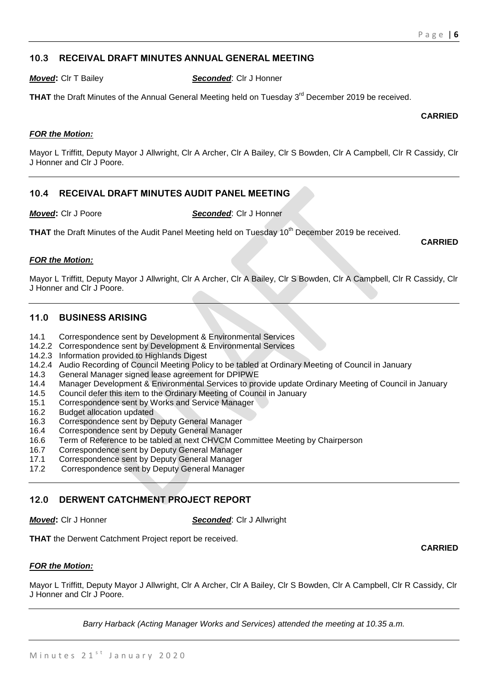# **10.3 RECEIVAL DRAFT MINUTES ANNUAL GENERAL MEETING**

*Moved***:** Clr T Bailey *Seconded*: Clr J Honner

**THAT** the Draft Minutes of the Annual General Meeting held on Tuesday 3<sup>rd</sup> December 2019 be received.

**CARRIED**

**CARRIED**

**CARRIED**

# *FOR the Motion:*

Mayor L Triffitt, Deputy Mayor J Allwright, Clr A Archer, Clr A Bailey, Clr S Bowden, Clr A Campbell, Clr R Cassidy, Clr J Honner and Clr J Poore.

# **10.4 RECEIVAL DRAFT MINUTES AUDIT PANEL MEETING**

*Moved***:** Clr J Poore *Seconded*: Clr J Honner

**THAT** the Draft Minutes of the Audit Panel Meeting held on Tuesday 10<sup>th</sup> December 2019 be received.

# *FOR the Motion:*

Mayor L Triffitt, Deputy Mayor J Allwright, Clr A Archer, Clr A Bailey, Clr S Bowden, Clr A Campbell, Clr R Cassidy, Clr J Honner and Clr J Poore.

# **11.0 BUSINESS ARISING**

- 14.1 Correspondence sent by Development & Environmental Services
- 14.2.2 Correspondence sent by Development & Environmental Services
- 14.2.3 Information provided to Highlands Digest
- 14.2.4 Audio Recording of Council Meeting Policy to be tabled at Ordinary Meeting of Council in January
- 14.3 General Manager signed lease agreement for DPIPWE
- 14.4 Manager Development & Environmental Services to provide update Ordinary Meeting of Council in January
- 14.5 Council defer this item to the Ordinary Meeting of Council in January
- 15.1 Correspondence sent by Works and Service Manager
- 16.2 Budget allocation updated
- 16.3 Correspondence sent by Deputy General Manager
- 16.4 Correspondence sent by Deputy General Manager
- 16.6 Term of Reference to be tabled at next CHVCM Committee Meeting by Chairperson
- 16.7 Correspondence sent by Deputy General Manager
- 17.1 Correspondence sent by Deputy General Manager
- 17.2 Correspondence sent by Deputy General Manager

# **12.0 DERWENT CATCHMENT PROJECT REPORT**

*Moved***:** Clr J Honner *Seconded*: Clr J Allwright

**THAT** the Derwent Catchment Project report be received.

# *FOR the Motion:*

Mayor L Triffitt, Deputy Mayor J Allwright, Clr A Archer, Clr A Bailey, Clr S Bowden, Clr A Campbell, Clr R Cassidy, Clr J Honner and Clr J Poore.

*Barry Harback (Acting Manager Works and Services) attended the meeting at 10.35 a.m.*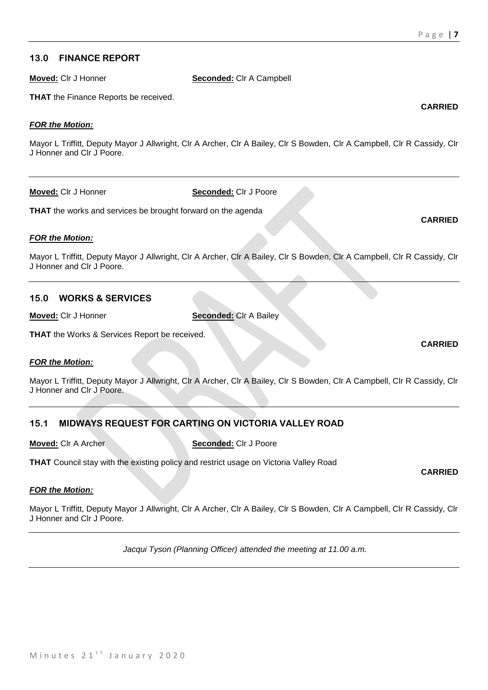**CARRIED**

# **13.0 FINANCE REPORT**

**Moved:** Clr J Honner **Seconded:** Clr A Campbell

**THAT** the Finance Reports be received.

# *FOR the Motion:*

Mayor L Triffitt, Deputy Mayor J Allwright, Clr A Archer, Clr A Bailey, Clr S Bowden, Clr A Campbell, Clr R Cassidy, Clr J Honner and Clr J Poore.

**Moved:** Clr J Honner **Seconded:** Clr J Poore

**THAT** the works and services be brought forward on the agenda

# *FOR the Motion:*

Mayor L Triffitt, Deputy Mayor J Allwright, Clr A Archer, Clr A Bailey, Clr S Bowden, Clr A Campbell, Clr R Cassidy, Clr J Honner and Clr J Poore.

# **15.0 WORKS & SERVICES**

**Moved:** Clr J Honner **Seconded:** Clr A Bailey

**THAT** the Works & Services Report be received.

# *FOR the Motion:*

Mayor L Triffitt, Deputy Mayor J Allwright, Clr A Archer, Clr A Bailey, Clr S Bowden, Clr A Campbell, Clr R Cassidy, Clr J Honner and Clr J Poore.

# **15.1 MIDWAYS REQUEST FOR CARTING ON VICTORIA VALLEY ROAD**

**Moved:** Clr A Archer **Seconded:** Clr J Poore

**THAT** Council stay with the existing policy and restrict usage on Victoria Valley Road

# *FOR the Motion:*

Mayor L Triffitt, Deputy Mayor J Allwright, Clr A Archer, Clr A Bailey, Clr S Bowden, Clr A Campbell, Clr R Cassidy, Clr J Honner and Clr J Poore.

*Jacqui Tyson (Planning Officer) attended the meeting at 11.00 a.m.*

# **CARRIED**

**CARRIED**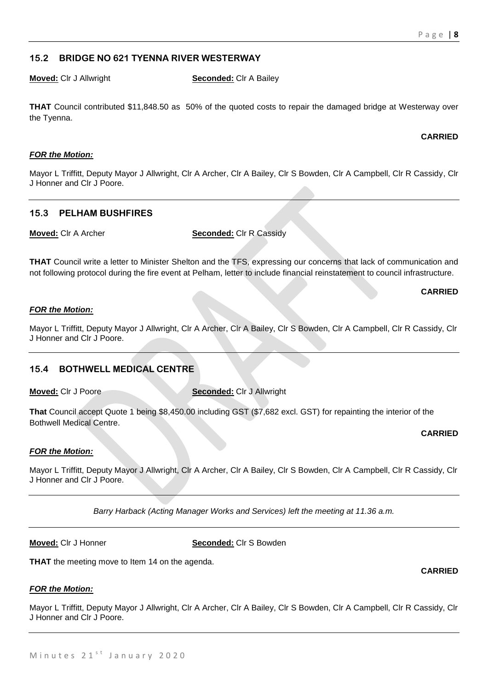# **15.2 BRIDGE NO 621 TYENNA RIVER WESTERWAY**

**Moved:** Clr J Allwright **Seconded:** Clr A Bailey

**THAT** Council contributed \$11,848.50 as 50% of the quoted costs to repair the damaged bridge at Westerway over the Tyenna.

#### **CARRIED**

# *FOR the Motion:*

Mayor L Triffitt, Deputy Mayor J Allwright, Clr A Archer, Clr A Bailey, Clr S Bowden, Clr A Campbell, Clr R Cassidy, Clr J Honner and Clr J Poore.

# **15.3 PELHAM BUSHFIRES**

**Moved:** Clr A Archer **Seconded:** Clr R Cassidy

**THAT** Council write a letter to Minister Shelton and the TFS, expressing our concerns that lack of communication and not following protocol during the fire event at Pelham, letter to include financial reinstatement to council infrastructure.

**CARRIED**

# *FOR the Motion:*

Mayor L Triffitt, Deputy Mayor J Allwright, Clr A Archer, Clr A Bailey, Clr S Bowden, Clr A Campbell, Clr R Cassidy, Clr J Honner and Clr J Poore.

# **15.4 BOTHWELL MEDICAL CENTRE**

**Moved:** Clr J Poore **Seconded:** Clr J Allwright

**That** Council accept Quote 1 being \$8,450.00 including GST (\$7,682 excl. GST) for repainting the interior of the Bothwell Medical Centre.

**CARRIED**

**CARRIED**

# *FOR the Motion:*

Mayor L Triffitt, Deputy Mayor J Allwright, Clr A Archer, Clr A Bailey, Clr S Bowden, Clr A Campbell, Clr R Cassidy, Clr J Honner and Clr J Poore.

*Barry Harback (Acting Manager Works and Services) left the meeting at 11.36 a.m.*

**Moved:** Clr J Honner **Seconded:** Clr S Bowden

**THAT** the meeting move to Item 14 on the agenda.

# *FOR the Motion:*

Mayor L Triffitt, Deputy Mayor J Allwright, Clr A Archer, Clr A Bailey, Clr S Bowden, Clr A Campbell, Clr R Cassidy, Clr J Honner and Clr J Poore.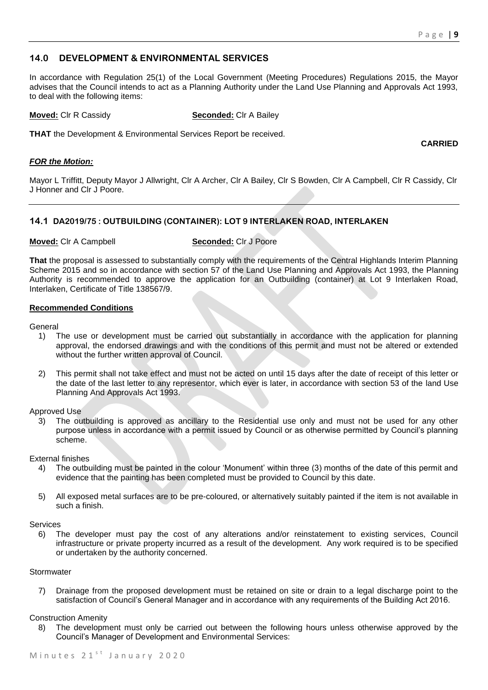**CARRIED**

# **14.0 DEVELOPMENT & ENVIRONMENTAL SERVICES**

In accordance with Regulation 25(1) of the Local Government (Meeting Procedures) Regulations 2015, the Mayor advises that the Council intends to act as a Planning Authority under the Land Use Planning and Approvals Act 1993, to deal with the following items:

**Moved:** Clr R Cassidy **Seconded:** Clr A Bailey

**THAT** the Development & Environmental Services Report be received.

*FOR the Motion:*

Mayor L Triffitt, Deputy Mayor J Allwright, Clr A Archer, Clr A Bailey, Clr S Bowden, Clr A Campbell, Clr R Cassidy, Clr J Honner and Clr J Poore.

# **14.1 DA2019/75 : OUTBUILDING (CONTAINER): LOT 9 INTERLAKEN ROAD, INTERLAKEN**

#### **Moved:** Clr A Campbell **Seconded:** Clr J Poore

**That** the proposal is assessed to substantially comply with the requirements of the Central Highlands Interim Planning Scheme 2015 and so in accordance with section 57 of the Land Use Planning and Approvals Act 1993, the Planning Authority is recommended to approve the application for an Outbuilding (container) at Lot 9 Interlaken Road, Interlaken, Certificate of Title 138567/9.

#### **Recommended Conditions**

**General** 

- 1) The use or development must be carried out substantially in accordance with the application for planning approval, the endorsed drawings and with the conditions of this permit and must not be altered or extended without the further written approval of Council.
- 2) This permit shall not take effect and must not be acted on until 15 days after the date of receipt of this letter or the date of the last letter to any representor, which ever is later, in accordance with section 53 of the land Use Planning And Approvals Act 1993.

Approved Use

3) The outbuilding is approved as ancillary to the Residential use only and must not be used for any other purpose unless in accordance with a permit issued by Council or as otherwise permitted by Council's planning scheme.

External finishes

- 4) The outbuilding must be painted in the colour 'Monument' within three (3) months of the date of this permit and evidence that the painting has been completed must be provided to Council by this date.
- 5) All exposed metal surfaces are to be pre-coloured, or alternatively suitably painted if the item is not available in such a finish.

#### Services

6) The developer must pay the cost of any alterations and/or reinstatement to existing services, Council infrastructure or private property incurred as a result of the development. Any work required is to be specified or undertaken by the authority concerned.

#### **Stormwater**

7) Drainage from the proposed development must be retained on site or drain to a legal discharge point to the satisfaction of Council's General Manager and in accordance with any requirements of the Building Act 2016.

Construction Amenity

8) The development must only be carried out between the following hours unless otherwise approved by the Council's Manager of Development and Environmental Services: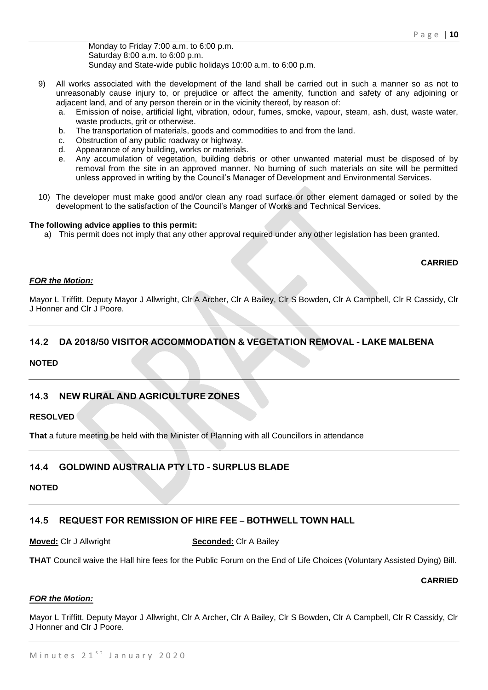Monday to Friday 7:00 a.m. to 6:00 p.m. Saturday 8:00 a.m. to 6:00 p.m. Sunday and State-wide public holidays 10:00 a.m. to 6:00 p.m.

- 9) All works associated with the development of the land shall be carried out in such a manner so as not to unreasonably cause injury to, or prejudice or affect the amenity, function and safety of any adjoining or adjacent land, and of any person therein or in the vicinity thereof, by reason of:
	- a. Emission of noise, artificial light, vibration, odour, fumes, smoke, vapour, steam, ash, dust, waste water, waste products, grit or otherwise.
	- b. The transportation of materials, goods and commodities to and from the land.
	- c. Obstruction of any public roadway or highway.
	- d. Appearance of any building, works or materials.
	- e. Any accumulation of vegetation, building debris or other unwanted material must be disposed of by removal from the site in an approved manner. No burning of such materials on site will be permitted unless approved in writing by the Council's Manager of Development and Environmental Services.
- 10) The developer must make good and/or clean any road surface or other element damaged or soiled by the development to the satisfaction of the Council's Manger of Works and Technical Services.

#### **The following advice applies to this permit:**

a) This permit does not imply that any other approval required under any other legislation has been granted.

#### **CARRIED**

#### *FOR the Motion:*

Mayor L Triffitt, Deputy Mayor J Allwright, Clr A Archer, Clr A Bailey, Clr S Bowden, Clr A Campbell, Clr R Cassidy, Clr J Honner and Clr J Poore.

# **14.2 DA 2018/50 VISITOR ACCOMMODATION & VEGETATION REMOVAL - LAKE MALBENA**

# **NOTED**

# **14.3 NEW RURAL AND AGRICULTURE ZONES**

**RESOLVED**

**That** a future meeting be held with the Minister of Planning with all Councillors in attendance

# **14.4 GOLDWIND AUSTRALIA PTY LTD - SURPLUS BLADE**

#### **NOTED**

# **14.5 REQUEST FOR REMISSION OF HIRE FEE – BOTHWELL TOWN HALL**

# **Moved:** Clr J Allwright **Seconded:** Clr A Bailey

**THAT** Council waive the Hall hire fees for the Public Forum on the End of Life Choices (Voluntary Assisted Dying) Bill.

#### **CARRIED**

# *FOR the Motion:*

Mayor L Triffitt, Deputy Mayor J Allwright, Clr A Archer, Clr A Bailey, Clr S Bowden, Clr A Campbell, Clr R Cassidy, Clr J Honner and Clr J Poore.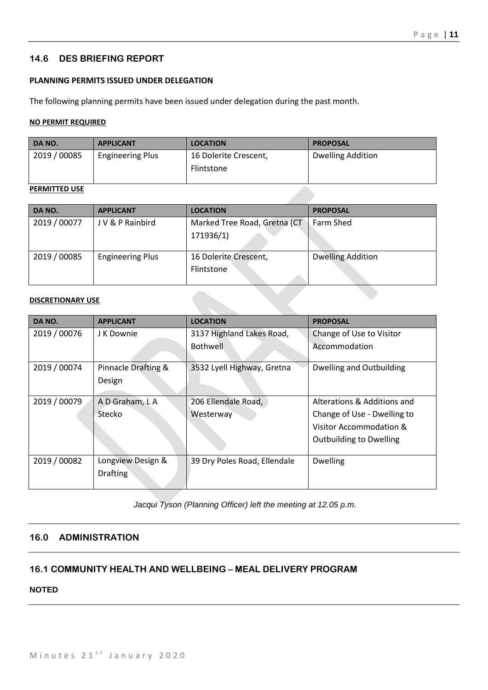# **14.6 DES BRIEFING REPORT**

# **PLANNING PERMITS ISSUED UNDER DELEGATION**

The following planning permits have been issued under delegation during the past month.

# **NO PERMIT REQUIRED**

| DA NO.       | <b>APPLICANT</b>        | <b>LOCATION</b>       | <b>PROPOSAL</b>          |
|--------------|-------------------------|-----------------------|--------------------------|
| 2019 / 00085 | <b>Engineering Plus</b> | 16 Dolerite Crescent, | <b>Dwelling Addition</b> |
|              |                         | Flintstone            |                          |
|              |                         |                       |                          |

#### **PERMITTED USE**

| DA NO.       | <b>APPLICANT</b>        | <b>LOCATION</b>              | <b>PROPOSAL</b>          |
|--------------|-------------------------|------------------------------|--------------------------|
| 2019 / 00077 | J V & P Rainbird        | Marked Tree Road, Gretna (CT | Farm Shed                |
|              |                         | 171936/1)                    |                          |
|              |                         |                              |                          |
| 2019 / 00085 | <b>Engineering Plus</b> | 16 Dolerite Crescent,        | <b>Dwelling Addition</b> |
|              |                         | Flintstone                   |                          |
|              |                         |                              |                          |

#### **DISCRETIONARY USE**

| DA NO.       | <b>APPLICANT</b>    | <b>LOCATION</b>              | <b>PROPOSAL</b>                |
|--------------|---------------------|------------------------------|--------------------------------|
| 2019 / 00076 | J K Downie          | 3137 Highland Lakes Road,    | Change of Use to Visitor       |
|              |                     | <b>Bothwell</b>              | Accommodation                  |
| 2019 / 00074 | Pinnacle Drafting & | 3532 Lyell Highway, Gretna   | Dwelling and Outbuilding       |
|              | Design              |                              |                                |
| 2019 / 00079 | A D Graham, L A     | 206 Ellendale Road,          | Alterations & Additions and    |
|              | Stecko              | Westerway                    | Change of Use - Dwelling to    |
|              |                     |                              | Visitor Accommodation &        |
|              |                     |                              | <b>Outbuilding to Dwelling</b> |
| 2019 / 00082 | Longview Design &   | 39 Dry Poles Road, Ellendale | <b>Dwelling</b>                |
|              | <b>Drafting</b>     |                              |                                |

*Jacqui Tyson (Planning Officer) left the meeting at 12.05 p.m.*

# **16.0 ADMINISTRATION**

# **16.1 COMMUNITY HEALTH AND WELLBEING – MEAL DELIVERY PROGRAM**

**NOTED**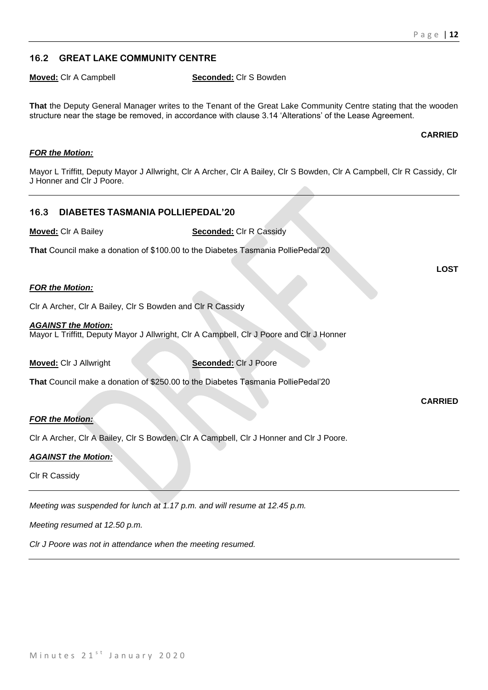# **16.2 GREAT LAKE COMMUNITY CENTRE**

**Moved:** Clr A Campbell **Seconded:** Clr S Bowden

**That** the Deputy General Manager writes to the Tenant of the Great Lake Community Centre stating that the wooden structure near the stage be removed, in accordance with clause 3.14 'Alterations' of the Lease Agreement.

# **CARRIED**

# *FOR the Motion:*

Mayor L Triffitt, Deputy Mayor J Allwright, Clr A Archer, Clr A Bailey, Clr S Bowden, Clr A Campbell, Clr R Cassidy, Clr J Honner and Clr J Poore.

# **16.3 DIABETES TASMANIA POLLIEPEDAL'20**

**Moved:** Clr A Bailey **Seconded:** Clr R Cassidy

**That** Council make a donation of \$100.00 to the Diabetes Tasmania PolliePedal'20

# *FOR the Motion:*

Clr A Archer, Clr A Bailey, Clr S Bowden and Clr R Cassidy

#### *AGAINST the Motion:* Mayor L Triffitt, Deputy Mayor J Allwright, Clr A Campbell, Clr J Poore and Clr J Honner

**Moved:** Clr J Allwright **Seconded:** Clr J Poore

**That** Council make a donation of \$250.00 to the Diabetes Tasmania PolliePedal'20

# *FOR the Motion:*

Clr A Archer, Clr A Bailey, Clr S Bowden, Clr A Campbell, Clr J Honner and Clr J Poore.

# *AGAINST the Motion:*

Clr R Cassidy

*Meeting was suspended for lunch at 1.17 p.m. and will resume at 12.45 p.m.*

*Meeting resumed at 12.50 p.m.*

*Clr J Poore was not in attendance when the meeting resumed.*

**LOST**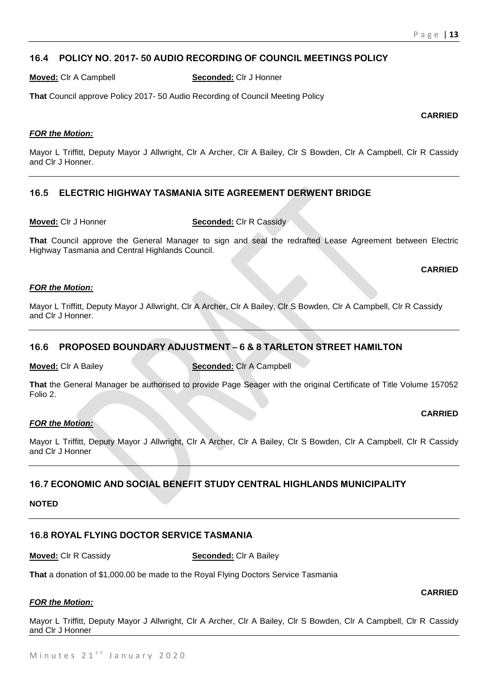# **16.4 POLICY NO. 2017- 50 AUDIO RECORDING OF COUNCIL MEETINGS POLICY**

**Moved:** Clr A Campbell **Seconded:** Clr J Honner

**That** Council approve Policy 2017- 50 Audio Recording of Council Meeting Policy

#### **CARRIED**

# *FOR the Motion:*

Mayor L Triffitt, Deputy Mayor J Allwright, Clr A Archer, Clr A Bailey, Clr S Bowden, Clr A Campbell, Clr R Cassidy and Clr J Honner.

# **16.5 ELECTRIC HIGHWAY TASMANIA SITE AGREEMENT DERWENT BRIDGE**

**Moved:** Clr J Honner **Seconded:** Clr R Cassidy

**That** Council approve the General Manager to sign and seal the redrafted Lease Agreement between Electric Highway Tasmania and Central Highlands Council.

# **CARRIED**

#### *FOR the Motion:*

Mayor L Triffitt, Deputy Mayor J Allwright, Clr A Archer, Clr A Bailey, Clr S Bowden, Clr A Campbell, Clr R Cassidy and Clr J Honner.

# **16.6 PROPOSED BOUNDARY ADJUSTMENT – 6 & 8 TARLETON STREET HAMILTON**

**Moved:** Clr A Bailey **Seconded:** Clr A Campbell

**That** the General Manager be authorised to provide Page Seager with the original Certificate of Title Volume 157052 Folio 2.

# *FOR the Motion:*

**CARRIED**

**CARRIED**

Mayor L Triffitt, Deputy Mayor J Allwright, Clr A Archer, Clr A Bailey, Clr S Bowden, Clr A Campbell, Clr R Cassidy and Clr J Honner

# **16.7 ECONOMIC AND SOCIAL BENEFIT STUDY CENTRAL HIGHLANDS MUNICIPALITY**

# **NOTED**

# **16.8 ROYAL FLYING DOCTOR SERVICE TASMANIA**

**Moved:** Clr R Cassidy **Seconded:** Clr A Bailey

**That** a donation of \$1,000.00 be made to the Royal Flying Doctors Service Tasmania

# *FOR the Motion:*

Mayor L Triffitt, Deputy Mayor J Allwright, Clr A Archer, Clr A Bailey, Clr S Bowden, Clr A Campbell, Clr R Cassidy and Clr J Honner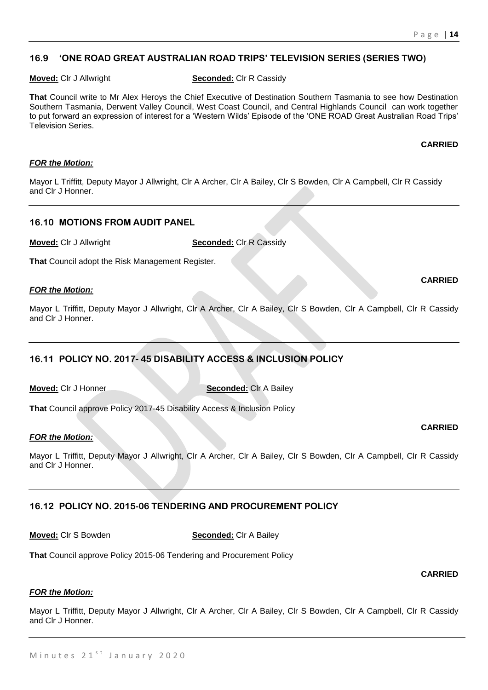# **16.9 'ONE ROAD GREAT AUSTRALIAN ROAD TRIPS' TELEVISION SERIES (SERIES TWO)**

**Moved:** Clr J Allwright **Seconded:** Clr R Cassidy

**That** Council write to Mr Alex Heroys the Chief Executive of Destination Southern Tasmania to see how Destination Southern Tasmania, Derwent Valley Council, West Coast Council, and Central Highlands Council can work together to put forward an expression of interest for a 'Western Wilds' Episode of the 'ONE ROAD Great Australian Road Trips' Television Series.

#### **CARRIED**

# *FOR the Motion:*

Mayor L Triffitt, Deputy Mayor J Allwright, Clr A Archer, Clr A Bailey, Clr S Bowden, Clr A Campbell, Clr R Cassidy and Clr J Honner.

# **16.10 MOTIONS FROM AUDIT PANEL**

**Moved:** Clr J Allwright **Seconded:** Clr R Cassidy

**That** Council adopt the Risk Management Register.

# *FOR the Motion:*

Mayor L Triffitt, Deputy Mayor J Allwright, Clr A Archer, Clr A Bailey, Clr S Bowden, Clr A Campbell, Clr R Cassidy and Clr J Honner.

# **16.11 POLICY NO. 2017- 45 DISABILITY ACCESS & INCLUSION POLICY**

**Moved:** Clr J Honner **Seconded:** Clr A Bailey

**That** Council approve Policy 2017-45 Disability Access & Inclusion Policy

# *FOR the Motion:*

Mayor L Triffitt, Deputy Mayor J Allwright, Clr A Archer, Clr A Bailey, Clr S Bowden, Clr A Campbell, Clr R Cassidy and Clr J Honner.

# **16.12 POLICY NO. 2015-06 TENDERING AND PROCUREMENT POLICY**

**Moved:** Clr S Bowden **Seconded:** Clr A Bailey

**That** Council approve Policy 2015-06 Tendering and Procurement Policy

# *FOR the Motion:*

Mayor L Triffitt, Deputy Mayor J Allwright, Clr A Archer, Clr A Bailey, Clr S Bowden, Clr A Campbell, Clr R Cassidy and Clr J Honner.

# **CARRIED**

#### **CARRIED**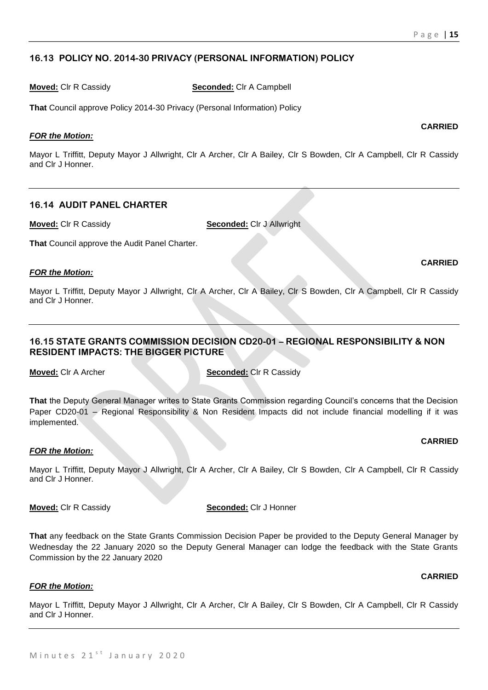# **16.13 POLICY NO. 2014-30 PRIVACY (PERSONAL INFORMATION) POLICY**

**Moved:** Clr R Cassidy **Seconded:** Clr A Campbell

**That** Council approve Policy 2014-30 Privacy (Personal Information) Policy

# *FOR the Motion:*

Mayor L Triffitt, Deputy Mayor J Allwright, Clr A Archer, Clr A Bailey, Clr S Bowden, Clr A Campbell, Clr R Cassidy and Clr J Honner.

# **16.14 AUDIT PANEL CHARTER**

**Moved:** Clr R Cassidy **Seconded:** Clr J Allwright

**That** Council approve the Audit Panel Charter.

# *FOR the Motion:*

Mayor L Triffitt, Deputy Mayor J Allwright, Clr A Archer, Clr A Bailey, Clr S Bowden, Clr A Campbell, Clr R Cassidy and Clr J Honner.

# **16.15 STATE GRANTS COMMISSION DECISION CD20-01 – REGIONAL RESPONSIBILITY & NON RESIDENT IMPACTS: THE BIGGER PICTURE**

**Moved:** Clr A Archer **Seconded:** Clr R Cassidy

**That** the Deputy General Manager writes to State Grants Commission regarding Council's concerns that the Decision Paper CD20-01 – Regional Responsibility & Non Resident Impacts did not include financial modelling if it was implemented.

# *FOR the Motion:*

Mayor L Triffitt, Deputy Mayor J Allwright, Clr A Archer, Clr A Bailey, Clr S Bowden, Clr A Campbell, Clr R Cassidy and Clr J Honner.

**Moved:** Clr R Cassidy **Seconded:** Clr J Honner

**That** any feedback on the State Grants Commission Decision Paper be provided to the Deputy General Manager by Wednesday the 22 January 2020 so the Deputy General Manager can lodge the feedback with the State Grants Commission by the 22 January 2020

# *FOR the Motion:*

Mayor L Triffitt, Deputy Mayor J Allwright, Clr A Archer, Clr A Bailey, Clr S Bowden, Clr A Campbell, Clr R Cassidy and Clr J Honner.

#### **CARRIED**

# **CARRIED**

# **CARRIED**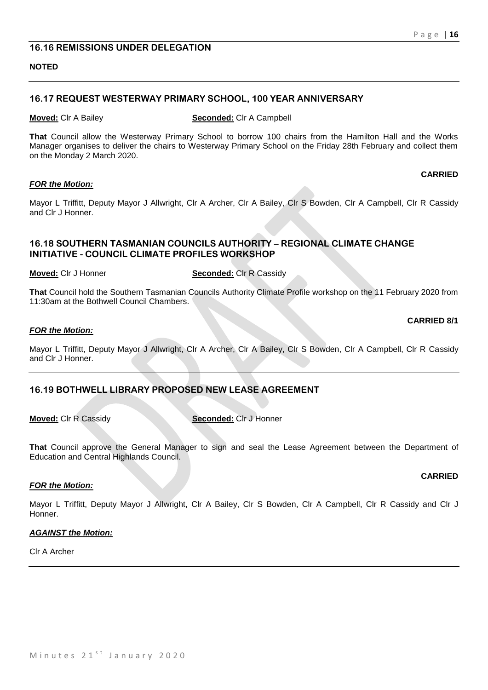# **16.16 REMISSIONS UNDER DELEGATION**

#### **NOTED**

#### **16.17 REQUEST WESTERWAY PRIMARY SCHOOL, 100 YEAR ANNIVERSARY**

**Moved:** Clr A Bailey **Seconded:** Clr A Campbell

**That** Council allow the Westerway Primary School to borrow 100 chairs from the Hamilton Hall and the Works Manager organises to deliver the chairs to Westerway Primary School on the Friday 28th February and collect them on the Monday 2 March 2020.

#### *FOR the Motion:*

Mayor L Triffitt, Deputy Mayor J Allwright, Clr A Archer, Clr A Bailey, Clr S Bowden, Clr A Campbell, Clr R Cassidy and Clr J Honner.

# **16.18 SOUTHERN TASMANIAN COUNCILS AUTHORITY – REGIONAL CLIMATE CHANGE INITIATIVE - COUNCIL CLIMATE PROFILES WORKSHOP**

**Moved:** Clr J Honner **Seconded:** Clr R Cassidy

**That** Council hold the Southern Tasmanian Councils Authority Climate Profile workshop on the 11 February 2020 from 11:30am at the Bothwell Council Chambers.

#### *FOR the Motion:*

Mayor L Triffitt, Deputy Mayor J Allwright, Clr A Archer, Clr A Bailey, Clr S Bowden, Clr A Campbell, Clr R Cassidy and Clr J Honner.

# **16.19 BOTHWELL LIBRARY PROPOSED NEW LEASE AGREEMENT**

**Moved:** Clr R Cassidy **Seconded:** Clr J Honner

**That** Council approve the General Manager to sign and seal the Lease Agreement between the Department of Education and Central Highlands Council.

#### *FOR the Motion:*

Mayor L Triffitt, Deputy Mayor J Allwright, Clr A Bailey, Clr S Bowden, Clr A Campbell, Clr R Cassidy and Clr J Honner.

#### *AGAINST the Motion:*

Clr A Archer

#### **CARRIED**

# **CARRIED**

**CARRIED 8/1**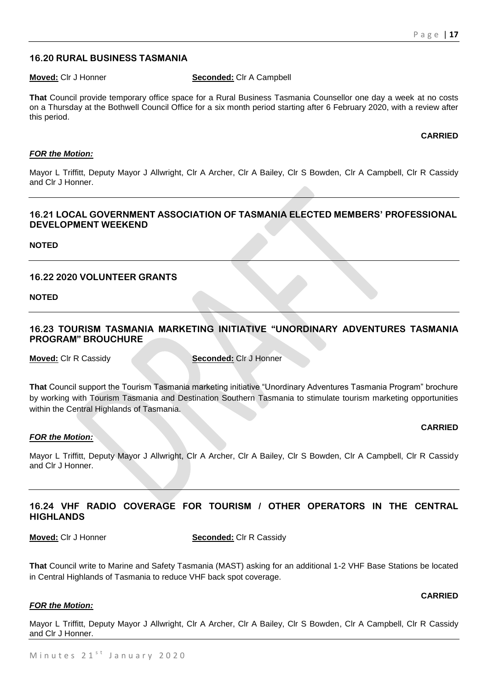# **16.20 RURAL BUSINESS TASMANIA**

#### **Moved:** Clr J Honner **Seconded:** Clr A Campbell

**That** Council provide temporary office space for a Rural Business Tasmania Counsellor one day a week at no costs on a Thursday at the Bothwell Council Office for a six month period starting after 6 February 2020, with a review after this period.

#### **CARRIED**

#### *FOR the Motion:*

Mayor L Triffitt, Deputy Mayor J Allwright, Clr A Archer, Clr A Bailey, Clr S Bowden, Clr A Campbell, Clr R Cassidy and Clr J Honner.

# **16.21 LOCAL GOVERNMENT ASSOCIATION OF TASMANIA ELECTED MEMBERS' PROFESSIONAL DEVELOPMENT WEEKEND**

**NOTED**

# **16.22 2020 VOLUNTEER GRANTS**

**NOTED**

# **16.23 TOURISM TASMANIA MARKETING INITIATIVE "UNORDINARY ADVENTURES TASMANIA PROGRAM" BROUCHURE**

**Moved:** Clr R Cassidy **Seconded:** Clr J Honner

**That** Council support the Tourism Tasmania marketing initiative "Unordinary Adventures Tasmania Program" brochure by working with Tourism Tasmania and Destination Southern Tasmania to stimulate tourism marketing opportunities within the Central Highlands of Tasmania.

#### **CARRIED**

**CARRIED**

#### *FOR the Motion:*

Mayor L Triffitt, Deputy Mayor J Allwright, Clr A Archer, Clr A Bailey, Clr S Bowden, Clr A Campbell, Clr R Cassidy and Clr J Honner.

# **16.24 VHF RADIO COVERAGE FOR TOURISM / OTHER OPERATORS IN THE CENTRAL HIGHLANDS**

**Moved:** Clr J Honner **Seconded:** Clr R Cassidy

**That** Council write to Marine and Safety Tasmania (MAST) asking for an additional 1-2 VHF Base Stations be located in Central Highlands of Tasmania to reduce VHF back spot coverage.

# *FOR the Motion:*

Mayor L Triffitt, Deputy Mayor J Allwright, Clr A Archer, Clr A Bailey, Clr S Bowden, Clr A Campbell, Clr R Cassidy and Clr J Honner.